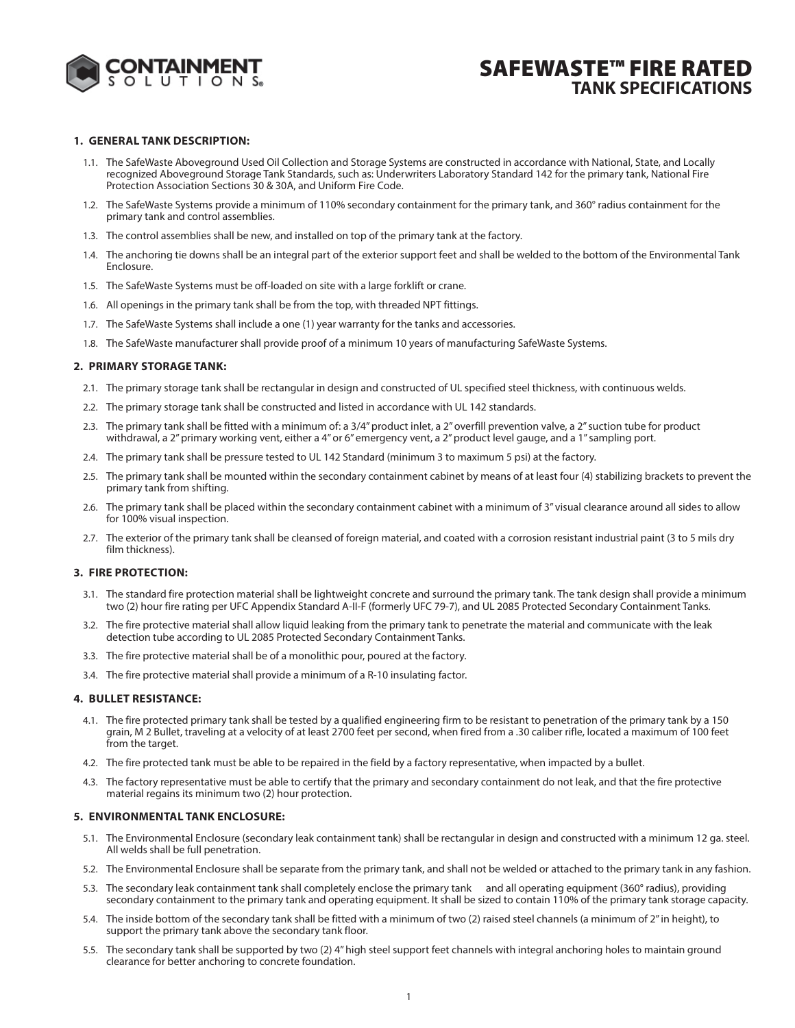

# **SAFEWASTE™ FIRE RATED TANK SPECIFICATIONS**

### **1. GENERAL TANK DESCRIPTION:**

- 1.1. The SafeWaste Aboveground Used Oil Collection and Storage Systems are constructed in accordance with National, State, and Locally recognized Aboveground Storage Tank Standards, such as: Underwriters Laboratory Standard 142 for the primary tank, National Fire Protection Association Sections 30 & 30A, and Uniform Fire Code.
- 1.2. The SafeWaste Systems provide a minimum of 110% secondary containment for the primary tank, and 360° radius containment for the primary tank and control assemblies.
- 1.3. The control assemblies shall be new, and installed on top of the primary tank at the factory.
- 1.4. The anchoring tie downs shall be an integral part of the exterior support feet and shall be welded to the bottom of the Environmental Tank Enclosure.
- 1.5. The SafeWaste Systems must be off-loaded on site with a large forklift or crane.
- 1.6. All openings in the primary tank shall be from the top, with threaded NPT fittings.
- 1.7. The SafeWaste Systems shall include a one (1) year warranty for the tanks and accessories.
- 1.8. The SafeWaste manufacturer shall provide proof of a minimum 10 years of manufacturing SafeWaste Systems.

#### **2. PRIMARY STORAGE TANK:**

- 2.1. The primary storage tank shall be rectangular in design and constructed of UL specified steel thickness, with continuous welds.
- 2.2. The primary storage tank shall be constructed and listed in accordance with UL 142 standards.
- 2.3. The primary tank shall be fitted with a minimum of: a 3/4" product inlet, a 2" overfill prevention valve, a 2" suction tube for product withdrawal, a 2" primary working vent, either a 4" or 6" emergency vent, a 2" product level gauge, and a 1" sampling port.
- 2.4. The primary tank shall be pressure tested to UL 142 Standard (minimum 3 to maximum 5 psi) at the factory.
- 2.5. The primary tank shall be mounted within the secondary containment cabinet by means of at least four (4) stabilizing brackets to prevent the primary tank from shifting.
- 2.6. The primary tank shall be placed within the secondary containment cabinet with a minimum of 3" visual clearance around all sides to allow for 100% visual inspection.
- 2.7. The exterior of the primary tank shall be cleansed of foreign material, and coated with a corrosion resistant industrial paint (3 to 5 mils dry film thickness).

### **3. FIRE PROTECTION:**

- 3.1. The standard fire protection material shall be lightweight concrete and surround the primary tank. The tank design shall provide a minimum two (2) hour fire rating per UFC Appendix Standard A-II-F (formerly UFC 79-7), and UL 2085 Protected Secondary Containment Tanks.
- 3.2. The fire protective material shall allow liquid leaking from the primary tank to penetrate the material and communicate with the leak detection tube according to UL 2085 Protected Secondary Containment Tanks.
- 3.3. The fire protective material shall be of a monolithic pour, poured at the factory.
- 3.4. The fire protective material shall provide a minimum of a R-10 insulating factor.

### **4. BULLET RESISTANCE:**

- 4.1. The fire protected primary tank shall be tested by a qualified engineering firm to be resistant to penetration of the primary tank by a 150 grain, M 2 Bullet, traveling at a velocity of at least 2700 feet per second, when fired from a .30 caliber rifle, located a maximum of 100 feet from the target.
- 4.2. The fire protected tank must be able to be repaired in the field by a factory representative, when impacted by a bullet.
- 4.3. The factory representative must be able to certify that the primary and secondary containment do not leak, and that the fire protective material regains its minimum two (2) hour protection.

#### **5. ENVIRONMENTAL TANK ENCLOSURE:**

- 5.1. The Environmental Enclosure (secondary leak containment tank) shall be rectangular in design and constructed with a minimum 12 ga. steel. All welds shall be full penetration.
- 5.2. The Environmental Enclosure shall be separate from the primary tank, and shall not be welded or attached to the primary tank in any fashion.
- 5.3. The secondary leak containment tank shall completely enclose the primary tank and all operating equipment (360° radius), providing secondary containment to the primary tank and operating equipment. It shall be sized to contain 110% of the primary tank storage capacity.
- 5.4. The inside bottom of the secondary tank shall be fitted with a minimum of two (2) raised steel channels (a minimum of 2" in height), to support the primary tank above the secondary tank floor.
- 5.5. The secondary tank shall be supported by two (2) 4" high steel support feet channels with integral anchoring holes to maintain ground clearance for better anchoring to concrete foundation.